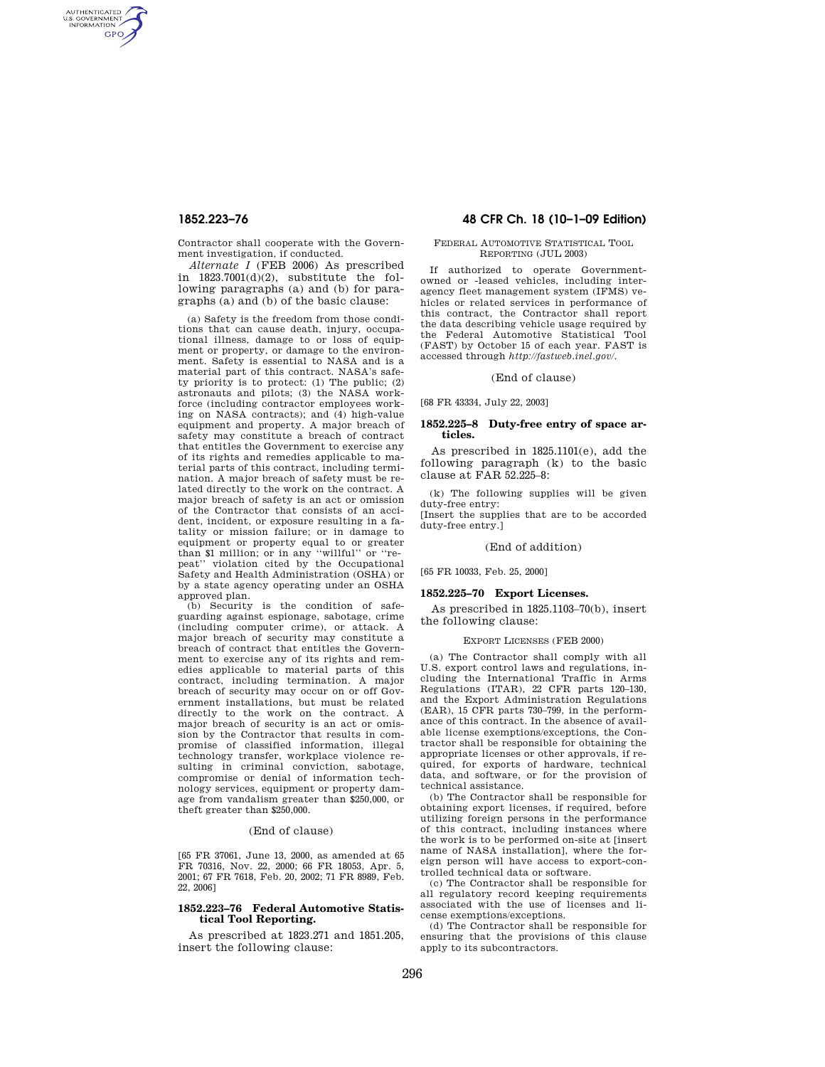AUTHENTICATED<br>U.S. GOVERNMENT<br>INFORMATION **GPO** 

> Contractor shall cooperate with the Government investigation, if conducted.

> *Alternate I* (FEB 2006) As prescribed in  $1823.7001(d)(2)$ , substitute the following paragraphs (a) and (b) for paragraphs (a) and (b) of the basic clause:

> (a) Safety is the freedom from those conditions that can cause death, injury, occupational illness, damage to or loss of equipment or property, or damage to the environment. Safety is essential to NASA and is a material part of this contract. NASA's safety priority is to protect: (1) The public; (2) astronauts and pilots; (3) the NASA workforce (including contractor employees working on NASA contracts); and (4) high-value equipment and property. A major breach of safety may constitute a breach of contract that entitles the Government to exercise any of its rights and remedies applicable to material parts of this contract, including termination. A major breach of safety must be related directly to the work on the contract. A major breach of safety is an act or omission of the Contractor that consists of an accident, incident, or exposure resulting in a fatality or mission failure; or in damage to equipment or property equal to or greater than \$1 million; or in any ''willful'' or ''repeat'' violation cited by the Occupational Safety and Health Administration (OSHA) or by a state agency operating under an OSHA approved plan.

> (b) Security is the condition of safeguarding against espionage, sabotage, crime (including computer crime), or attack. A major breach of security may constitute a breach of contract that entitles the Government to exercise any of its rights and remedies applicable to material parts of this contract, including termination. A major breach of security may occur on or off Government installations, but must be related directly to the work on the contract. A major breach of security is an act or omission by the Contractor that results in compromise of classified information, illegal technology transfer, workplace violence resulting in criminal conviction, sabotage, compromise or denial of information technology services, equipment or property damage from vandalism greater than \$250,000, or theft greater than \$250,000.

### (End of clause)

[65 FR 37061, June 13, 2000, as amended at 65 FR 70316, Nov. 22, 2000; 66 FR 18053, Apr. 5, 2001; 67 FR 7618, Feb. 20, 2002; 71 FR 8989, Feb. 22, 2006]

# **1852.223–76 Federal Automotive Statistical Tool Reporting.**

As prescribed at 1823.271 and 1851.205, insert the following clause:

# **1852.223–76 48 CFR Ch. 18 (10–1–09 Edition)**

### FEDERAL AUTOMOTIVE STATISTICAL TOOL REPORTING (JUL 2003)

If authorized to operate Governmentowned or -leased vehicles, including interagency fleet management system (IFMS) vehicles or related services in performance of this contract, the Contractor shall report the data describing vehicle usage required by the Federal Automotive Statistical Tool (FAST) by October 15 of each year. FAST is accessed through *http://fastweb.inel.gov/.* 

### (End of clause)

[68 FR 43334, July 22, 2003]

### **1852.225–8 Duty-free entry of space articles.**

As prescribed in 1825.1101(e), add the following paragraph (k) to the basic clause at FAR 52.225–8:

(k) The following supplies will be given duty-free entry:

[Insert the supplies that are to be accorded duty-free entry.]

### (End of addition)

[65 FR 10033, Feb. 25, 2000]

# **1852.225–70 Export Licenses.**

As prescribed in 1825.1103–70(b), insert the following clause:

### EXPORT LICENSES (FEB 2000)

(a) The Contractor shall comply with all U.S. export control laws and regulations, including the International Traffic in Arms Regulations (ITAR), 22 CFR parts 120–130, and the Export Administration Regulations (EAR), 15 CFR parts 730–799, in the performance of this contract. In the absence of available license exemptions/exceptions, the Contractor shall be responsible for obtaining the appropriate licenses or other approvals, if required, for exports of hardware, technical data, and software, or for the provision of technical assistance.

(b) The Contractor shall be responsible for obtaining export licenses, if required, before utilizing foreign persons in the performance of this contract, including instances where the work is to be performed on-site at [insert name of NASA installation], where the foreign person will have access to export-controlled technical data or software.

(c) The Contractor shall be responsible for all regulatory record keeping requirements associated with the use of licenses and license exemptions/exceptions.

(d) The Contractor shall be responsible for ensuring that the provisions of this clause apply to its subcontractors.